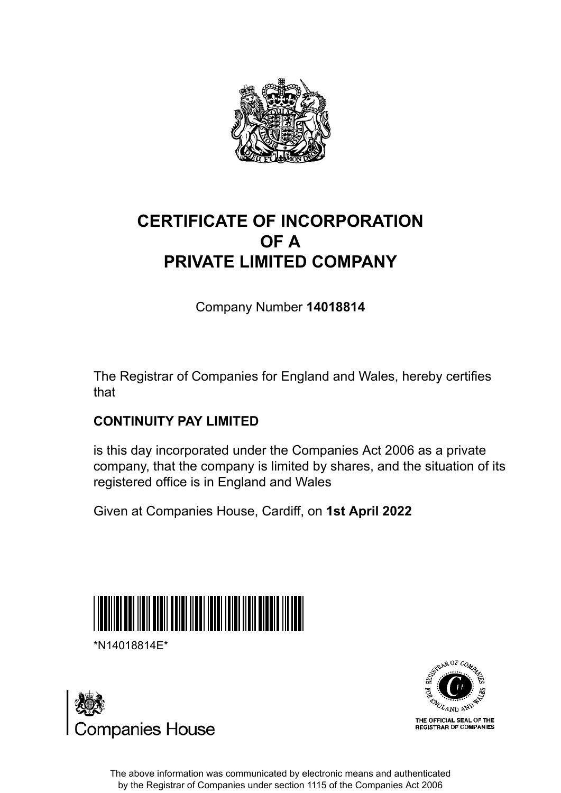

## **CERTIFICATE OF INCORPORATION OF A PRIVATE LIMITED COMPANY**

Company Number **14018814**

The Registrar of Companies for England and Wales, hereby certifies that

#### **CONTINUITY PAY LIMITED**

is this day incorporated under the Companies Act 2006 as a private company, that the company is limited by shares, and the situation of its registered office is in England and Wales

Given at Companies House, Cardiff, on **1st April 2022**



\*N14018814E\*





The above information was communicated by electronic means and authenticated by the Registrar of Companies under section 1115 of the Companies Act 2006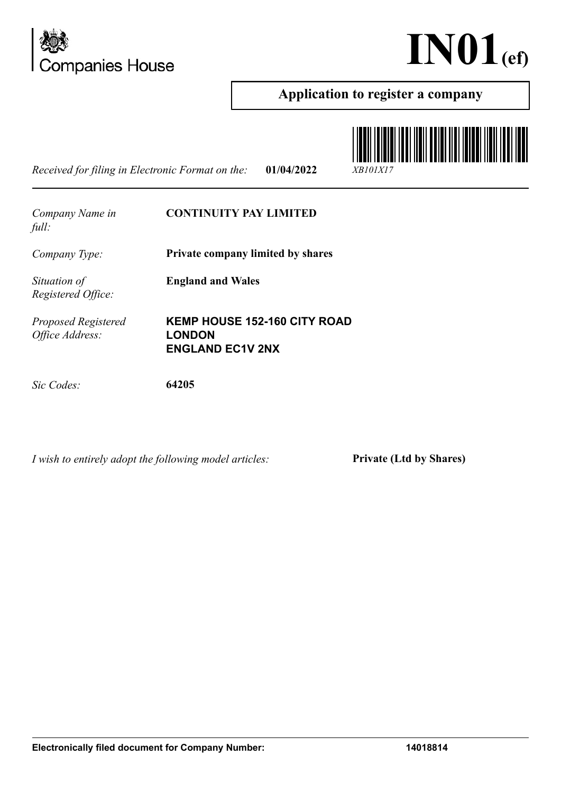



#### **Application to register a company**

*Received for filing in Electronic Format on the:* **01/04/2022** *XB101X17*



*Company Name in full:* **CONTINUITY PAY LIMITED** *Company Type:* **Private company limited by shares** *Situation of Registered Office:* **England and Wales** *Proposed Registered Office Address:* **KEMP HOUSE 152-160 CITY ROAD LONDON ENGLAND EC1V 2NX** *Sic Codes:* **64205**

*I wish to entirely adopt the following model articles:* **Private (Ltd by Shares)**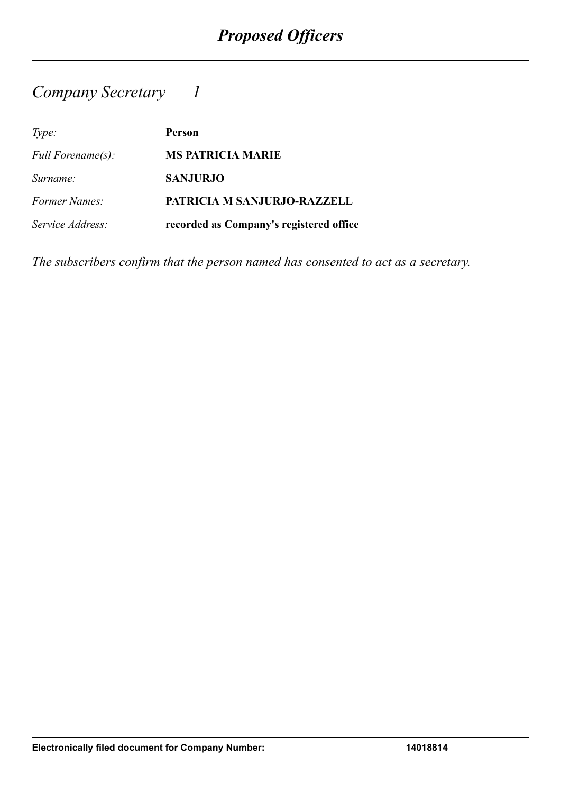## *Company Secretary 1*

| Type:                    | <b>Person</b>                           |
|--------------------------|-----------------------------------------|
| <i>Full Forename(s):</i> | <b>MS PATRICIA MARIE</b>                |
| Surname:                 | <b>SANJURJO</b>                         |
| <b>Former Names:</b>     | PATRICIA M SANJURJO-RAZZELL             |
| Service Address:         | recorded as Company's registered office |

*The subscribers confirm that the person named has consented to act as a secretary.*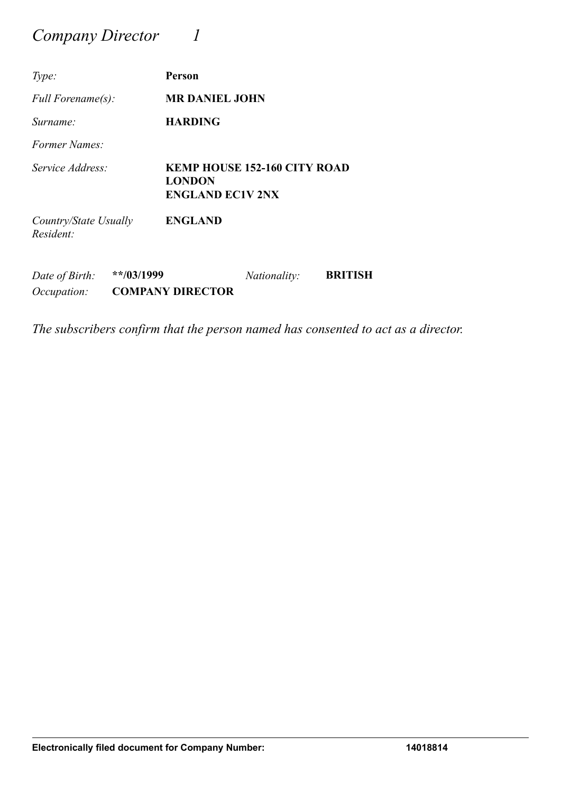## *Company Director 1*

| Type:                                |              | Person                                                                          |                     |                |
|--------------------------------------|--------------|---------------------------------------------------------------------------------|---------------------|----------------|
| <i>Full Forename(s):</i>             |              | <b>MR DANIEL JOHN</b>                                                           |                     |                |
| Surname:                             |              | <b>HARDING</b>                                                                  |                     |                |
| <i>Former Names:</i>                 |              |                                                                                 |                     |                |
| Service Address:                     |              | <b>KEMP HOUSE 152-160 CITY ROAD</b><br><b>LONDON</b><br><b>ENGLAND EC1V 2NX</b> |                     |                |
| Country/State Usually<br>Resident:   |              | <b>ENGLAND</b>                                                                  |                     |                |
| Date of Birth:<br><i>Occupation:</i> | $**/03/1999$ | <b>COMPANY DIRECTOR</b>                                                         | <i>Nationality:</i> | <b>BRITISH</b> |

*The subscribers confirm that the person named has consented to act as a director.*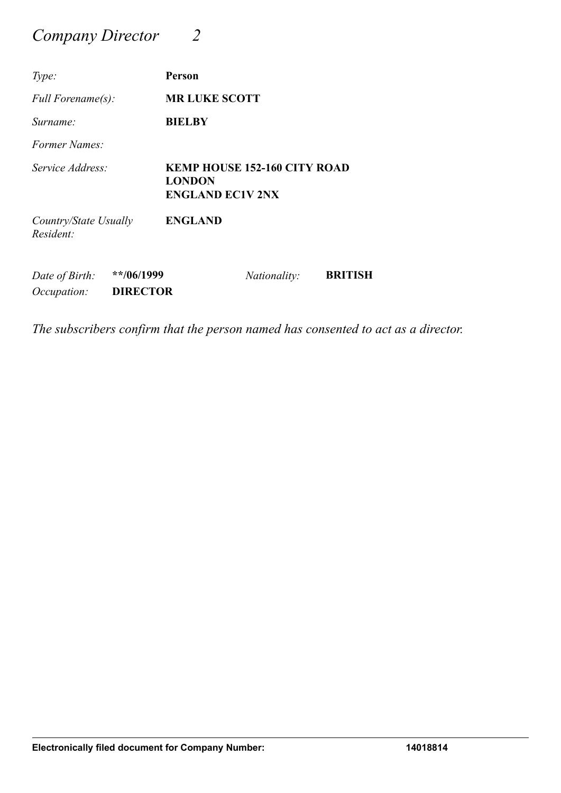## *Company Director 2*

| Type:                                                                 | Person                                                                          |
|-----------------------------------------------------------------------|---------------------------------------------------------------------------------|
| Full Forename(s):                                                     | <b>MR LUKE SCOTT</b>                                                            |
| Surname:                                                              | <b>BIELBY</b>                                                                   |
| Former Names:                                                         |                                                                                 |
| Service Address:                                                      | <b>KEMP HOUSE 152-160 CITY ROAD</b><br><b>LONDON</b><br><b>ENGLAND EC1V 2NX</b> |
| Country/State Usually<br>Resident:                                    | <b>ENGLAND</b>                                                                  |
| **/06/1999<br>Date of Birth:<br><b>DIRECTOR</b><br><i>Occupation:</i> | <b>BRITISH</b><br><i>Nationality:</i>                                           |

*The subscribers confirm that the person named has consented to act as a director.*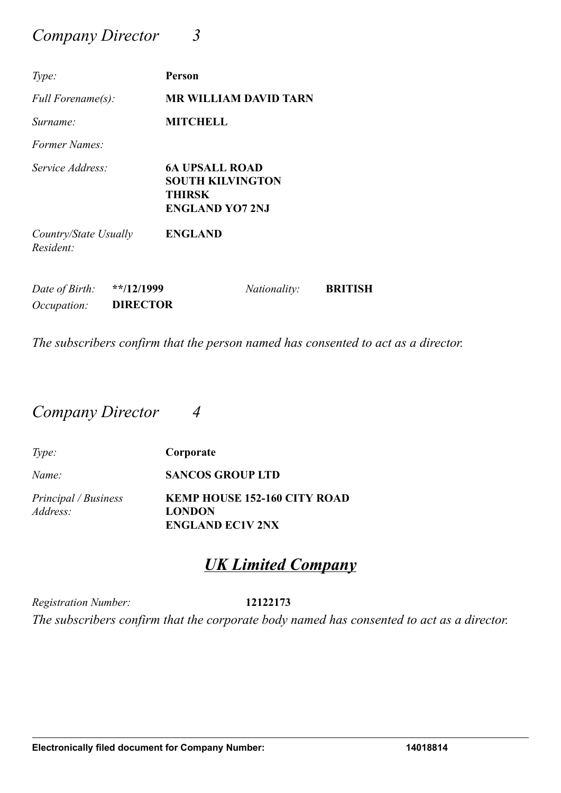### *Company Director 3*

| Type:                                |                                  | Person                                                                                      |
|--------------------------------------|----------------------------------|---------------------------------------------------------------------------------------------|
| Full Forename(s):                    |                                  | <b>MR WILLIAM DAVID TARN</b>                                                                |
| Surname:                             |                                  | <b>MITCHELL</b>                                                                             |
| <i>Former Names:</i>                 |                                  |                                                                                             |
| Service Address:                     |                                  | <b>6A UPSALL ROAD</b><br><b>SOUTH KILVINGTON</b><br><b>THIRSK</b><br><b>ENGLAND YO7 2NJ</b> |
| Country/State Usually<br>Resident:   |                                  | <b>ENGLAND</b>                                                                              |
| Date of Birth:<br><i>Occupation:</i> | $*$ $12/1999$<br><b>DIRECTOR</b> | <b>BRITISH</b><br>Nationality:                                                              |

*The subscribers confirm that the person named has consented to act as a director.*

### *Company Director 4*

| Type:                | Corporate                                |
|----------------------|------------------------------------------|
| Name:                | <b>SANCOS GROUP LTD</b>                  |
| Principal / Business | <b>KEMP HOUSE 152-160 CITY ROAD</b>      |
| Address:             | <b>LONDON</b><br><b>ENGLAND EC1V 2NX</b> |

## *UK Limited Company*

*Registration Number:* **12122173** *The subscribers confirm that the corporate body named has consented to act as a director.*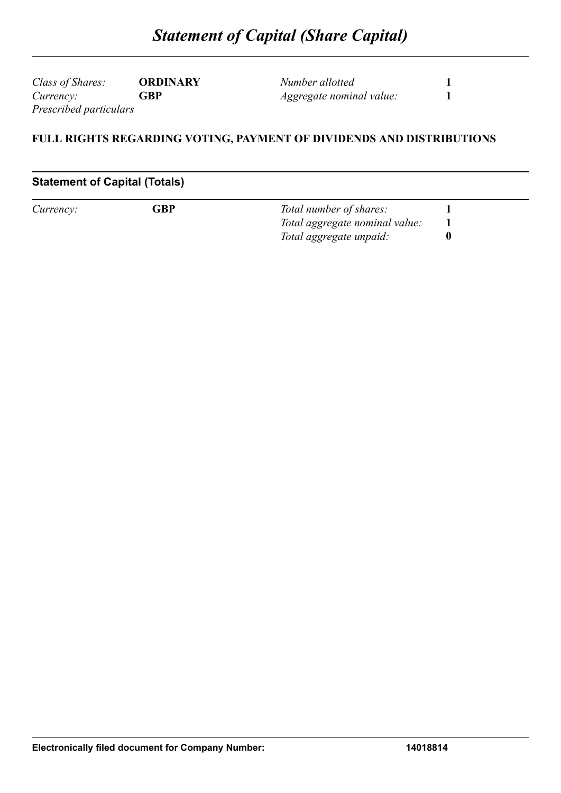*Class of Shares:* **ORDINARY** *Currency:* **GBP** *Prescribed particulars*

*Number allotted* **1** *Aggregate nominal value:* **1**

#### **FULL RIGHTS REGARDING VOTING, PAYMENT OF DIVIDENDS AND DISTRIBUTIONS**

#### **Statement of Capital (Totals)**

| Currency: | ${\mathsf G} {\mathsf B} {\mathsf P}$ | Total number of shares:        |  |
|-----------|---------------------------------------|--------------------------------|--|
|           |                                       | Total aggregate nominal value: |  |
|           |                                       | Total aggregate unpaid:        |  |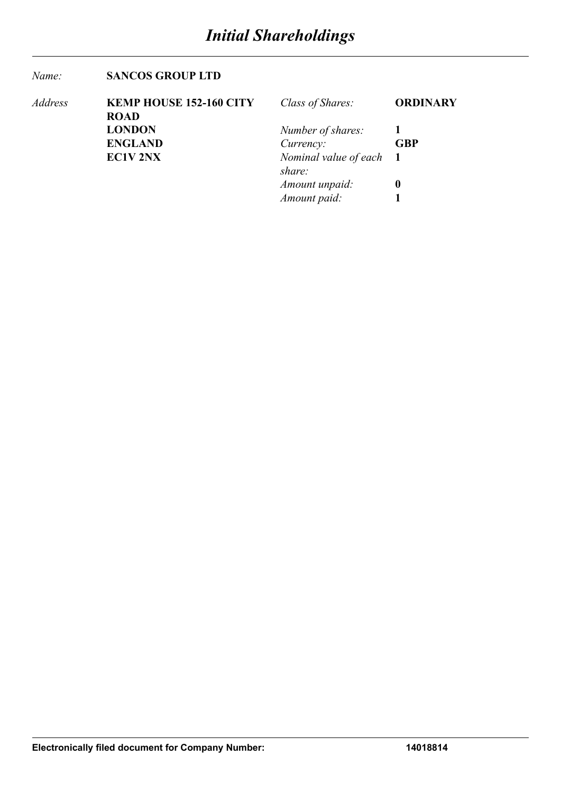#### *Name:* **SANCOS GROUP LTD**

| Address | <b>KEMP HOUSE 152-160 CITY</b> | Class of Shares:        | <b>ORDINARY</b> |
|---------|--------------------------------|-------------------------|-----------------|
|         | <b>ROAD</b>                    |                         |                 |
|         | <b>LONDON</b>                  | Number of shares:       |                 |
|         | <b>ENGLAND</b>                 | Currency:               | <b>GBP</b>      |
|         | <b>EC1V 2NX</b>                | Nominal value of each 1 |                 |
|         |                                | share:                  |                 |
|         |                                | Amount unpaid:          | $\bf{0}$        |
|         |                                | Amount paid:            |                 |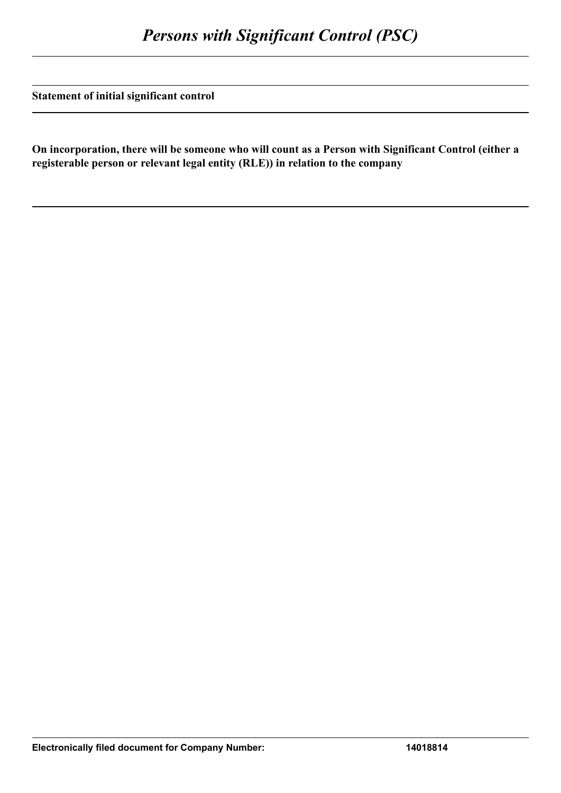**Statement of initial significant control**

**On incorporation, there will be someone who will count as a Person with Significant Control (either a registerable person or relevant legal entity (RLE)) in relation to the company**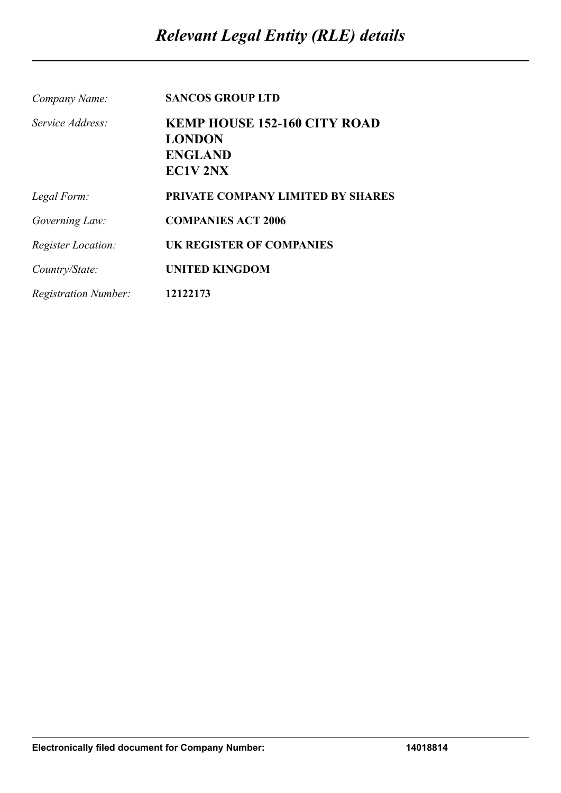| Company Name:               | <b>SANCOS GROUP LTD</b>             |
|-----------------------------|-------------------------------------|
| Service Address:            | <b>KEMP HOUSE 152-160 CITY ROAD</b> |
|                             | <b>LONDON</b>                       |
|                             | <b>ENGLAND</b>                      |
|                             | EC1V <sub>2NX</sub>                 |
| Legal Form:                 | PRIVATE COMPANY LIMITED BY SHARES   |
| Governing Law:              | <b>COMPANIES ACT 2006</b>           |
| <b>Register Location:</b>   | <b>UK REGISTER OF COMPANIES</b>     |
| Country/State:              | <b>UNITED KINGDOM</b>               |
| <i>Registration Number:</i> | 12122173                            |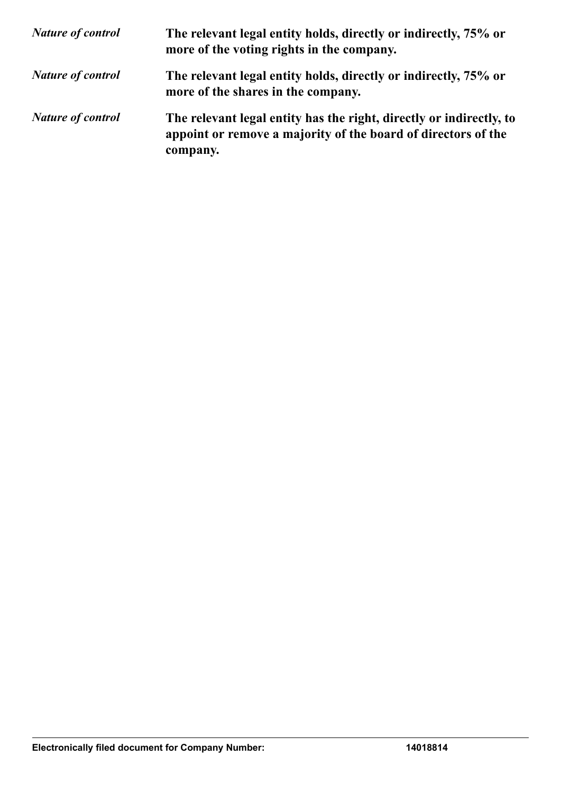| <b>Nature of control</b> | The relevant legal entity holds, directly or indirectly, 75% or<br>more of the voting rights in the company.                                     |
|--------------------------|--------------------------------------------------------------------------------------------------------------------------------------------------|
| <b>Nature of control</b> | The relevant legal entity holds, directly or indirectly, 75% or<br>more of the shares in the company.                                            |
| <b>Nature of control</b> | The relevant legal entity has the right, directly or indirectly, to<br>appoint or remove a majority of the board of directors of the<br>company. |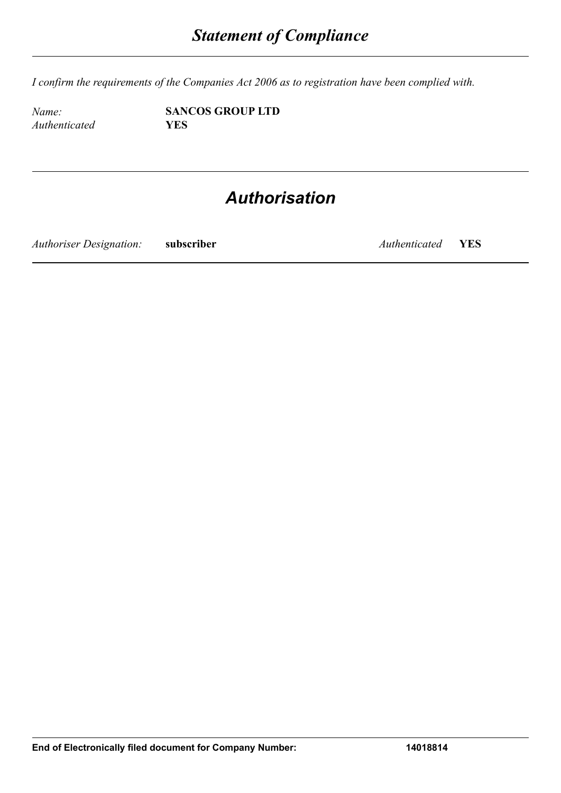*I confirm the requirements of the Companies Act 2006 as to registration have been complied with.*

*Authenticated* **YES**

*Name:* **SANCOS GROUP LTD**

## *Authorisation*

*Authoriser Designation:* **subscriber** *Authenticated* **YES**